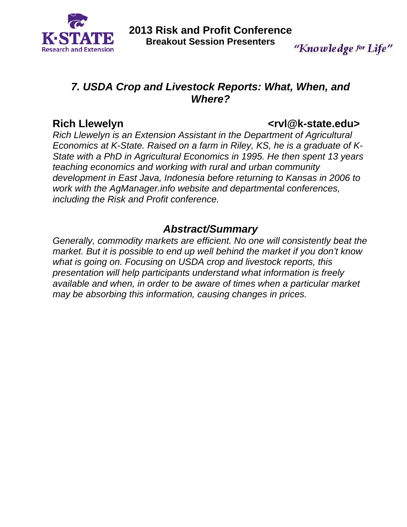

"Knowledge for Life"

## *7. USDA Crop and Livestock Reports: What, When, and Where?*

## Rich Llewelyn **and Contract Contract Contract Contract Contract Contract Contract Contract Contract Contract Contract Contract Contract Contract Contract Contract Contract Contract Contract Contract Contract Contract Contr**

*Rich Llewelyn is an Extension Assistant in the Department of Agricultural Economics at K-State. Raised on a farm in Riley, KS, he is a graduate of K-State with a PhD in Agricultural Economics in 1995. He then spent 13 years teaching economics and working with rural and urban community development in East Java, Indonesia before returning to Kansas in 2006 to work with the AgManager.info website and departmental conferences, including the Risk and Profit conference.* 

## *Abstract/Summary*

*Generally, commodity markets are efficient. No one will consistently beat the market. But it is possible to end up well behind the market if you don't know what is going on. Focusing on USDA crop and livestock reports, this presentation will help participants understand what information is freely available and when, in order to be aware of times when a particular market may be absorbing this information, causing changes in prices.*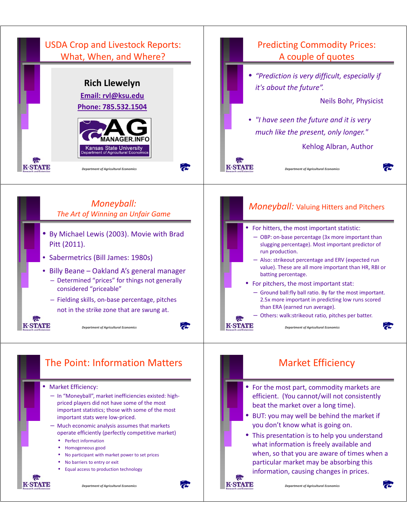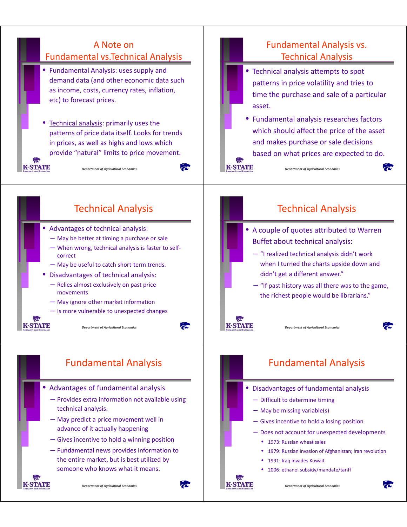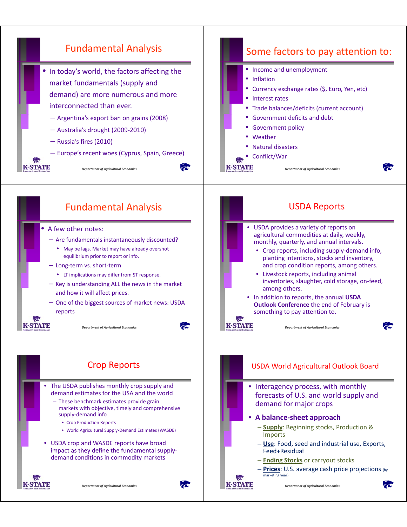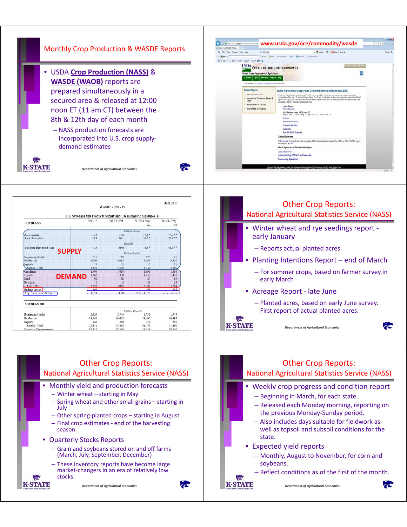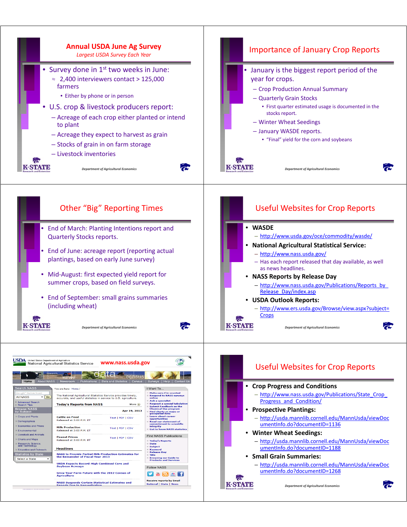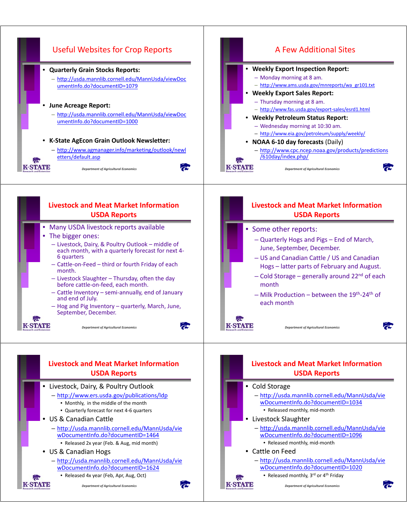